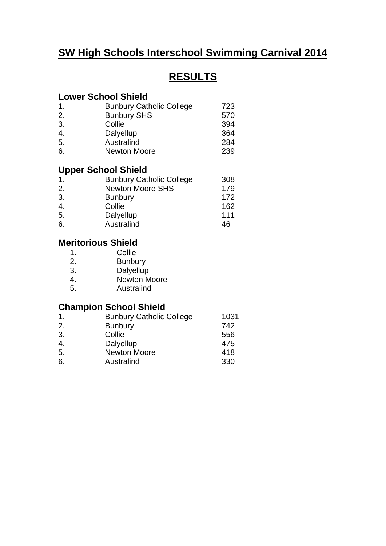## **SW High Schools Interschool Swimming Carnival 2014**

# **RESULTS**

#### **Lower School Shield**

| 723 |
|-----|
| 570 |
| 394 |
| 364 |
| 284 |
| 239 |
|     |

### **Upper School Shield**

| $\mathbf 1$ . | <b>Bunbury Catholic College</b> | 308 |
|---------------|---------------------------------|-----|
| 2.            | <b>Newton Moore SHS</b>         | 179 |
| 3.            | <b>Bunbury</b>                  | 172 |
| 4.            | Collie                          | 162 |
| 5.            | Dalyellup                       | 111 |
| 6.            | Australind                      | 46  |

# **Meritorious Shield**<br>1. Collie

- 1. Collie<br>2. Bunbu
- **Bunbury**
- 3. Dalyellup
- 4. Newton Moore
- 5. Australind

### **Champion School Shield**

| <b>Bunbury Catholic College</b> | 1031 |
|---------------------------------|------|
| <b>Bunbury</b>                  | 742  |
| Collie                          | 556  |
| Dalyellup                       | 475  |
| Newton Moore                    | 418  |
| Australind                      | 330  |
|                                 |      |